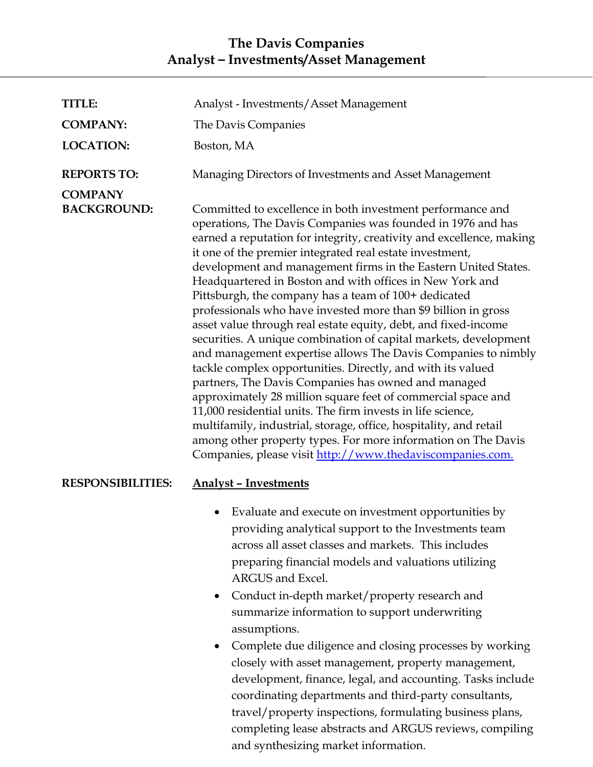## **The Davis Companies Analyst – Investments/Asset Management**

| <b>TITLE:</b>                        | Analyst - Investments/Asset Management                                                                                                                                                                                                                                                                                                                                                                                                                                                                                                                                                                                                                                                                                                                                                                                                                                                                                                                                                                                                                                                                                                                                               |
|--------------------------------------|--------------------------------------------------------------------------------------------------------------------------------------------------------------------------------------------------------------------------------------------------------------------------------------------------------------------------------------------------------------------------------------------------------------------------------------------------------------------------------------------------------------------------------------------------------------------------------------------------------------------------------------------------------------------------------------------------------------------------------------------------------------------------------------------------------------------------------------------------------------------------------------------------------------------------------------------------------------------------------------------------------------------------------------------------------------------------------------------------------------------------------------------------------------------------------------|
| <b>COMPANY:</b>                      | The Davis Companies                                                                                                                                                                                                                                                                                                                                                                                                                                                                                                                                                                                                                                                                                                                                                                                                                                                                                                                                                                                                                                                                                                                                                                  |
| <b>LOCATION:</b>                     | Boston, MA                                                                                                                                                                                                                                                                                                                                                                                                                                                                                                                                                                                                                                                                                                                                                                                                                                                                                                                                                                                                                                                                                                                                                                           |
| <b>REPORTS TO:</b>                   | Managing Directors of Investments and Asset Management                                                                                                                                                                                                                                                                                                                                                                                                                                                                                                                                                                                                                                                                                                                                                                                                                                                                                                                                                                                                                                                                                                                               |
| <b>COMPANY</b><br><b>BACKGROUND:</b> | Committed to excellence in both investment performance and<br>operations, The Davis Companies was founded in 1976 and has<br>earned a reputation for integrity, creativity and excellence, making<br>it one of the premier integrated real estate investment,<br>development and management firms in the Eastern United States.<br>Headquartered in Boston and with offices in New York and<br>Pittsburgh, the company has a team of 100+ dedicated<br>professionals who have invested more than \$9 billion in gross<br>asset value through real estate equity, debt, and fixed-income<br>securities. A unique combination of capital markets, development<br>and management expertise allows The Davis Companies to nimbly<br>tackle complex opportunities. Directly, and with its valued<br>partners, The Davis Companies has owned and managed<br>approximately 28 million square feet of commercial space and<br>11,000 residential units. The firm invests in life science,<br>multifamily, industrial, storage, office, hospitality, and retail<br>among other property types. For more information on The Davis<br>Companies, please visit http://www.thedaviscompanies.com. |
| <b>RESPONSIBILITIES:</b>             | <b>Analyst - Investments</b>                                                                                                                                                                                                                                                                                                                                                                                                                                                                                                                                                                                                                                                                                                                                                                                                                                                                                                                                                                                                                                                                                                                                                         |
|                                      | Evaluate and execute on investment opportunities by<br>providing analytical support to the Investments team<br>across all asset classes and markets. This includes<br>preparing financial models and valuations utilizing<br>ARGUS and Excel.<br>Conduct in-depth market/property research and<br>$\bullet$<br>summarize information to support underwriting<br>assumptions.<br>Complete due diligence and closing processes by working<br>closely with asset management, property management,<br>development, finance, legal, and accounting. Tasks include<br>coordinating departments and third-party consultants,<br>travel/property inspections, formulating business plans,<br>completing lease abstracts and ARGUS reviews, compiling<br>and synthesizing market information.                                                                                                                                                                                                                                                                                                                                                                                                 |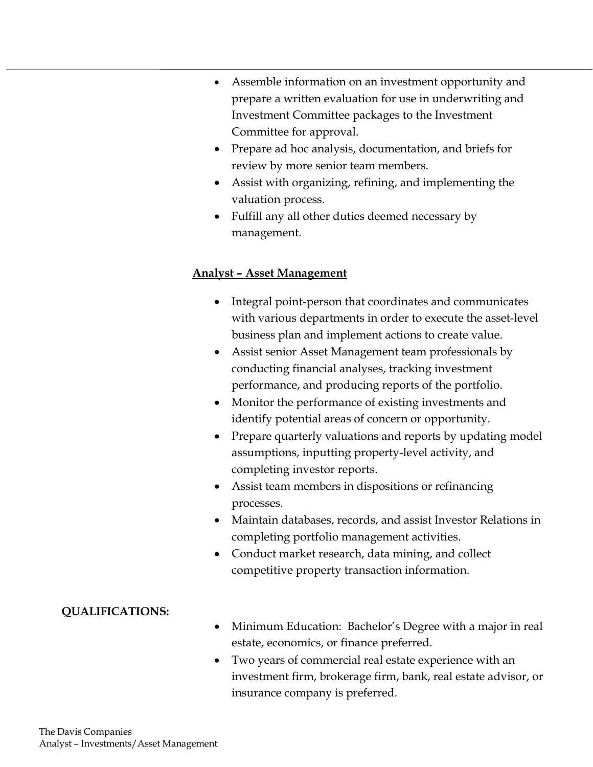- Assemble information on an investment opportunity and prepare a written evaluation for use in underwriting and Investment Committee packages to the Investment Committee for approval.
- Prepare ad hoc analysis, documentation, and briefs for review by more senior team members.
- Assist with organizing, refining, and implementing the valuation process.
- Fulfill any all other duties deemed necessary by management.

#### **Analyst – Asset Management**

- Integral point-person that coordinates and communicates with various departments in order to execute the asset-level business plan and implement actions to create value.
- Assist senior Asset Management team professionals by conducting financial analyses, tracking investment performance, and producing reports of the portfolio.
- Monitor the performance of existing investments and identify potential areas of concern or opportunity.
- Prepare quarterly valuations and reports by updating model assumptions, inputting property-level activity, and completing investor reports.
- Assist team members in dispositions or refinancing processes.
- Maintain databases, records, and assist Investor Relations in completing portfolio management activities.
- Conduct market research, data mining, and collect competitive property transaction information.

### **QUALIFICATIONS:**

- Minimum Education: Bachelor's Degree with a major in real estate, economics, or finance preferred.
- Two years of commercial real estate experience with an investment firm, brokerage firm, bank, real estate advisor, or insurance company is preferred.